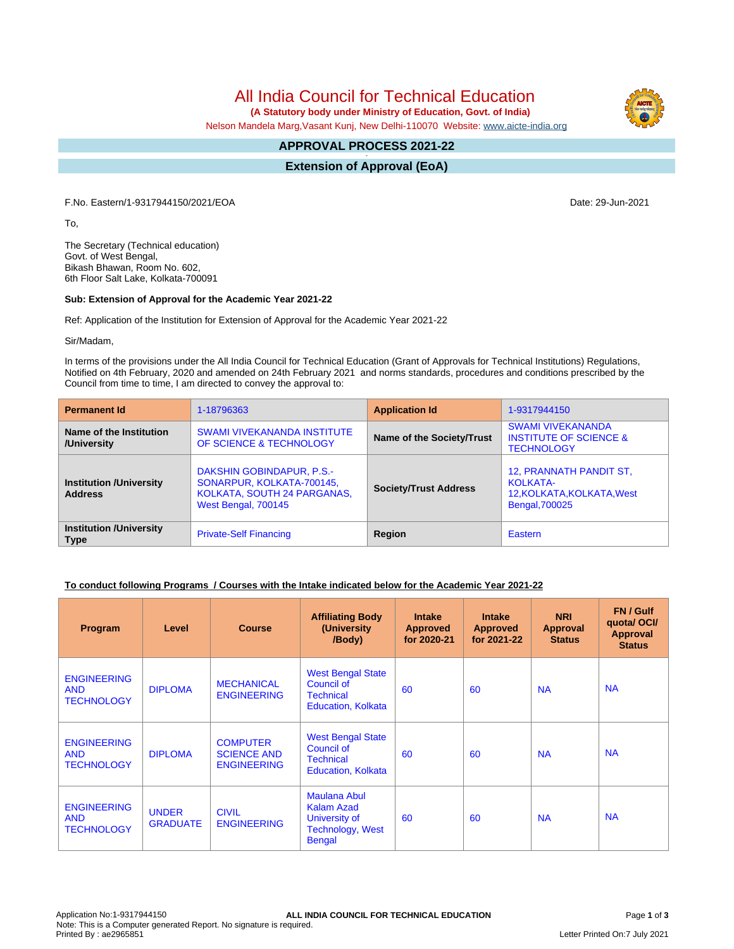# All India Council for Technical Education

 **(A Statutory body under Ministry of Education, Govt. of India)**

Nelson Mandela Marg,Vasant Kunj, New Delhi-110070 Website: [www.aicte-india.org](http://www.aicte-india.org)

#### **APPROVAL PROCESS 2021-22 -**

**Extension of Approval (EoA)**

F.No. Eastern/1-9317944150/2021/EOA Date: 29-Jun-2021

To,

The Secretary (Technical education) Govt. of West Bengal, Bikash Bhawan, Room No. 602, 6th Floor Salt Lake, Kolkata-700091

#### **Sub: Extension of Approval for the Academic Year 2021-22**

Ref: Application of the Institution for Extension of Approval for the Academic Year 2021-22

Sir/Madam,

In terms of the provisions under the All India Council for Technical Education (Grant of Approvals for Technical Institutions) Regulations, Notified on 4th February, 2020 and amended on 24th February 2021 and norms standards, procedures and conditions prescribed by the Council from time to time, I am directed to convey the approval to:

| <b>Permanent Id</b>                              | 1-18796363                                                                                                   | <b>Application Id</b>        | 1-9317944150                                                                               |
|--------------------------------------------------|--------------------------------------------------------------------------------------------------------------|------------------------------|--------------------------------------------------------------------------------------------|
| Name of the Institution<br>/University           | <b>SWAMI VIVEKANANDA INSTITUTE</b><br>OF SCIENCE & TECHNOLOGY                                                | Name of the Society/Trust    | <b>SWAMI VIVEKANANDA</b><br><b>INSTITUTE OF SCIENCE &amp;</b><br><b>TECHNOLOGY</b>         |
| <b>Institution /University</b><br><b>Address</b> | DAKSHIN GOBINDAPUR, P.S.-<br>SONARPUR, KOLKATA-700145,<br>KOLKATA, SOUTH 24 PARGANAS,<br>West Bengal, 700145 | <b>Society/Trust Address</b> | 12, PRANNATH PANDIT ST,<br><b>KOLKATA-</b><br>12, KOLKATA, KOLKATA, West<br>Bengal, 700025 |
| <b>Institution /University</b><br><b>Type</b>    | <b>Private-Self Financing</b>                                                                                | Region                       | Eastern                                                                                    |

#### **To conduct following Programs / Courses with the Intake indicated below for the Academic Year 2021-22**

| Program                                               | Level                           | <b>Course</b>                                               | <b>Affiliating Body</b><br>(University<br>/Body)                                               | <b>Intake</b><br><b>Approved</b><br>for 2020-21 | <b>Intake</b><br><b>Approved</b><br>for 2021-22 | <b>NRI</b><br>Approval<br><b>Status</b> | FN / Gulf<br>quotal OCI/<br><b>Approval</b><br><b>Status</b> |
|-------------------------------------------------------|---------------------------------|-------------------------------------------------------------|------------------------------------------------------------------------------------------------|-------------------------------------------------|-------------------------------------------------|-----------------------------------------|--------------------------------------------------------------|
| <b>ENGINEERING</b><br><b>AND</b><br><b>TECHNOLOGY</b> | <b>DIPLOMA</b>                  | <b>MECHANICAL</b><br><b>ENGINEERING</b>                     | <b>West Bengal State</b><br>Council of<br><b>Technical</b><br><b>Education, Kolkata</b>        | 60                                              | 60                                              | <b>NA</b>                               | <b>NA</b>                                                    |
| <b>ENGINEERING</b><br><b>AND</b><br><b>TECHNOLOGY</b> | <b>DIPLOMA</b>                  | <b>COMPUTER</b><br><b>SCIENCE AND</b><br><b>ENGINEERING</b> | <b>West Bengal State</b><br>Council of<br><b>Technical</b><br><b>Education, Kolkata</b>        | 60                                              | 60                                              | <b>NA</b>                               | <b>NA</b>                                                    |
| <b>ENGINEERING</b><br><b>AND</b><br><b>TECHNOLOGY</b> | <b>UNDER</b><br><b>GRADUATE</b> | <b>CIVIL</b><br><b>ENGINEERING</b>                          | Maulana Abul<br><b>Kalam Azad</b><br>University of<br><b>Technology, West</b><br><b>Bengal</b> | 60                                              | 60                                              | <b>NA</b>                               | <b>NA</b>                                                    |

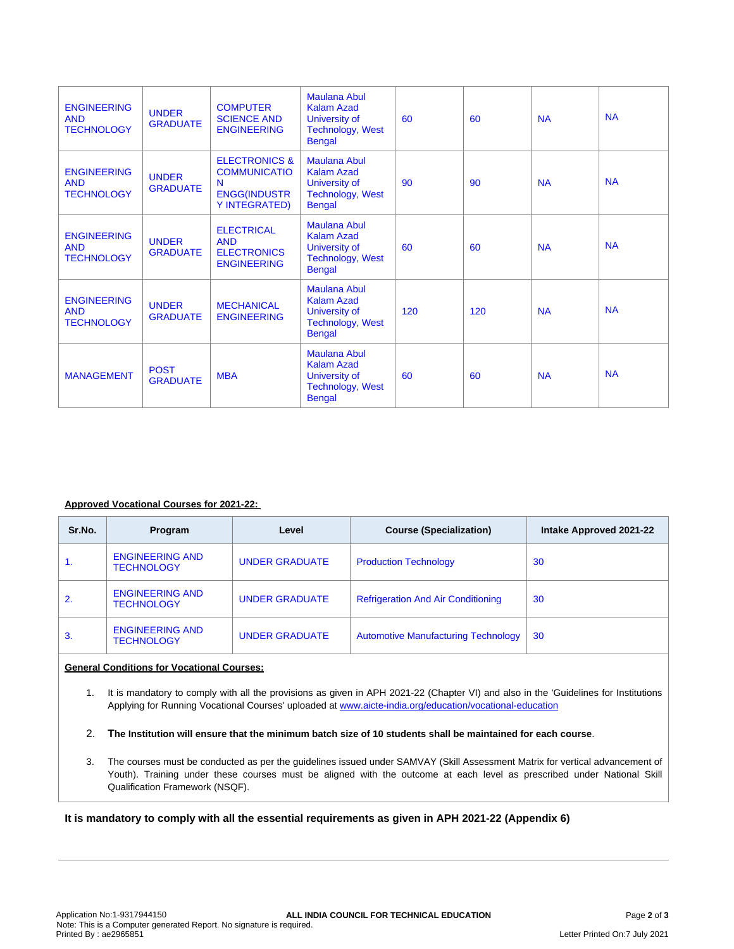| <b>ENGINEERING</b><br><b>AND</b><br><b>TECHNOLOGY</b> | <b>UNDER</b><br><b>GRADUATE</b> | <b>COMPUTER</b><br><b>SCIENCE AND</b><br><b>ENGINEERING</b>                                  | <b>Maulana Abul</b><br>Kalam Azad<br>University of<br><b>Technology, West</b><br><b>Bengal</b>        | 60  | 60  | <b>NA</b> | <b>NA</b> |
|-------------------------------------------------------|---------------------------------|----------------------------------------------------------------------------------------------|-------------------------------------------------------------------------------------------------------|-----|-----|-----------|-----------|
| <b>ENGINEERING</b><br><b>AND</b><br><b>TECHNOLOGY</b> | <b>UNDER</b><br><b>GRADUATE</b> | <b>ELECTRONICS &amp;</b><br><b>COMMUNICATIO</b><br>N<br><b>ENGG(INDUSTR</b><br>Y INTEGRATED) | <b>Maulana Abul</b><br><b>Kalam Azad</b><br>University of<br><b>Technology, West</b><br><b>Bengal</b> | 90  | 90  | <b>NA</b> | <b>NA</b> |
| <b>ENGINEERING</b><br><b>AND</b><br><b>TECHNOLOGY</b> | <b>UNDER</b><br><b>GRADUATE</b> | <b>ELECTRICAL</b><br><b>AND</b><br><b>ELECTRONICS</b><br><b>ENGINEERING</b>                  | <b>Maulana Abul</b><br>Kalam Azad<br>University of<br><b>Technology, West</b><br><b>Bengal</b>        | 60  | 60  | <b>NA</b> | <b>NA</b> |
| <b>ENGINEERING</b><br><b>AND</b><br><b>TECHNOLOGY</b> | <b>UNDER</b><br><b>GRADUATE</b> | <b>MECHANICAL</b><br><b>ENGINEERING</b>                                                      | <b>Maulana Abul</b><br>Kalam Azad<br>University of<br><b>Technology, West</b><br><b>Bengal</b>        | 120 | 120 | <b>NA</b> | <b>NA</b> |
| <b>MANAGEMENT</b>                                     | <b>POST</b><br><b>GRADUATE</b>  | <b>MBA</b>                                                                                   | <b>Maulana Abul</b><br><b>Kalam Azad</b><br>University of<br><b>Technology, West</b><br><b>Bengal</b> | 60  | 60  | <b>NA</b> | <b>NA</b> |

#### **Approved Vocational Courses for 2021-22:**

| Sr.No. | Program                                     | Level                 | <b>Course (Specialization)</b>             | Intake Approved 2021-22 |
|--------|---------------------------------------------|-----------------------|--------------------------------------------|-------------------------|
| 1.     | <b>ENGINEERING AND</b><br><b>TECHNOLOGY</b> | <b>UNDER GRADUATE</b> | <b>Production Technology</b>               | 30                      |
|        | <b>ENGINEERING AND</b><br><b>TECHNOLOGY</b> | <b>UNDER GRADUATE</b> | <b>Refrigeration And Air Conditioning</b>  | 30                      |
| 3.     | <b>ENGINEERING AND</b><br><b>TECHNOLOGY</b> | <b>UNDER GRADUATE</b> | <b>Automotive Manufacturing Technology</b> | 30                      |

#### **General Conditions for Vocational Courses:**

1. It is mandatory to comply with all the provisions as given in APH 2021-22 (Chapter VI) and also in the 'Guidelines for Institutions Applying for Running Vocational Courses' uploaded at [www.aicte-india.org/education/vocational-education](https://www.aicte-india.org/education/vocational-education)

2. The Institution will ensure that the minimum batch size of 10 students shall be maintained for each course.

3. The courses must be conducted as per the guidelines issued under SAMVAY (Skill Assessment Matrix for vertical advancement of Youth). Training under these courses must be aligned with the outcome at each level as prescribed under National Skill Qualification Framework (NSQF).

### **It is mandatory to comply with all the essential requirements as given in APH 2021-22 (Appendix 6)**